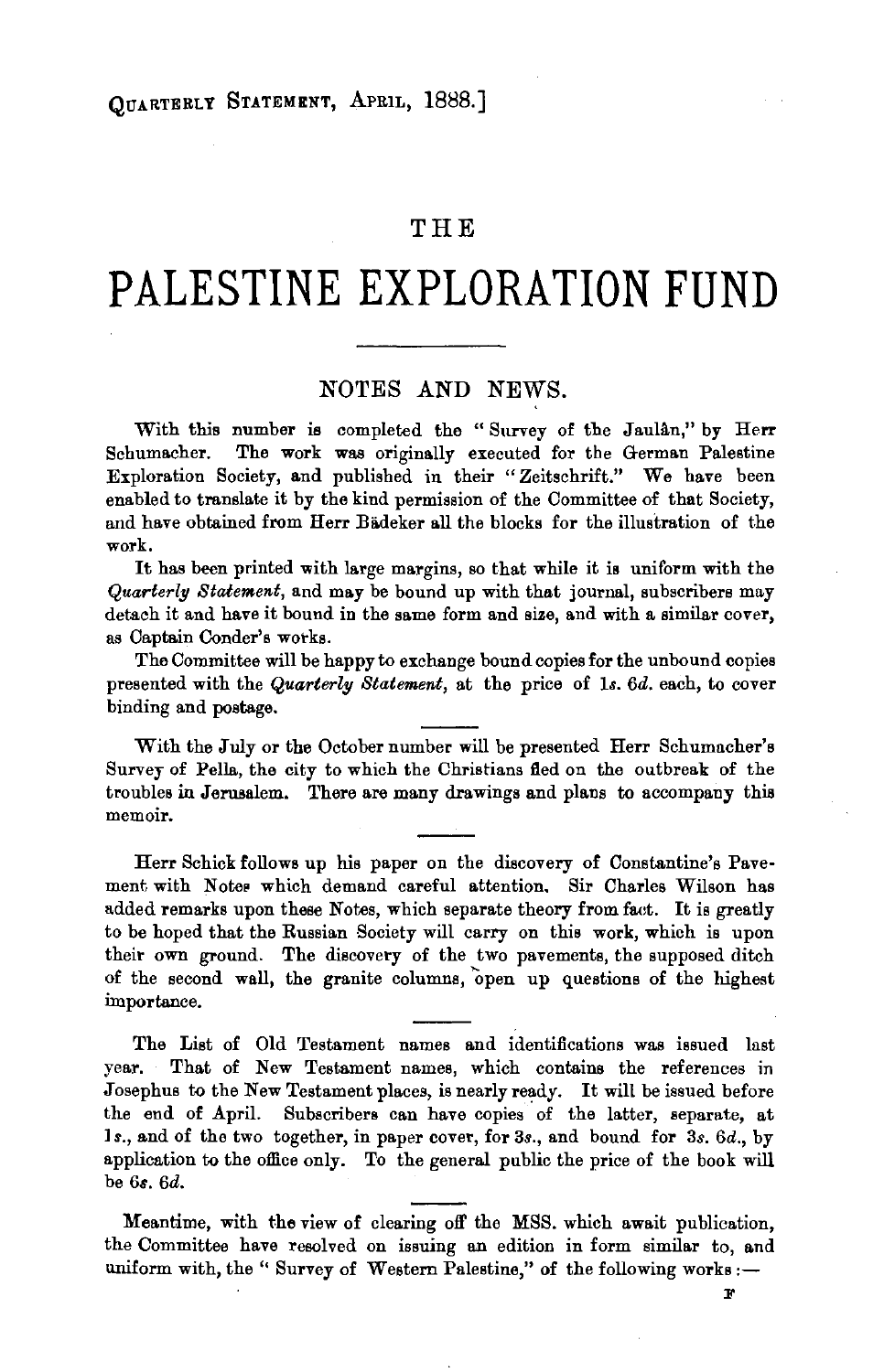## **THE**

## **PALESTINE EXPLORATION FUND**

## NOTES AND NEWS.

With this number is completed the "Survey of the Jaulan," by Herr Schumacher. The work was originally executed for the German Palestine Exploration Society, and published in their "Zeitschrift." We have been enabled to translate it by the kind permission of the Committee of that Society, and have obtained from Herr Bädeker all the blocks for the illustration of the work.

It has been printed with large margins, so that while it is uniform with the *Quarterl!J Statement,* and may be bound up with that journal, subscribers may detach it and have it bound in the same form and size, and with a similar cover, as Captain Conder's works.

The Committee will be happy to exchange bound copies for the unbound copies presented with the *Quarterly Statement,* at the price of ls. *6d.* each, to cover binding and postage.

With the July or the October number will be presented Herr Schumacher's Survey of Pella, the city to which the Christians fled on the outbreak of the troubles in Jerusalem. There are many drawings and plans to accompany this memoir.

Herr Schick follows up his paper on the discovery of Constantine's Pavement with Notes which demand careful attention. Sir Charles Wilson has added remarks upon these Notes, which separate theory from faet. It is greatly to be hoped that the Russian Society will carry on this work, which is upon their own ground. The discovery of the two pavements, the supposed ditch of the second wall, the granite columns, "open up questions of the highest importance.

The List of Old Testament names and identifications was issued last year. That of New Testament names, which contains the references in Josephus to the New Testament places, is nearly ready. It will be issued before the end of April. Subscribers can have copies of the latter, separate, at Js., and of the two together, in paper cover, for 3s., and bound for 3s. *6d.,* by application to the office only. To the general public the price of the book will be 6s. 6d.

Meantime, with the view of clearing off the MSS. which await publication, the Committee have resolved on issuing an edition in form similar to, and uniform with, the " Survey of Western Palestine," of the following works :-

F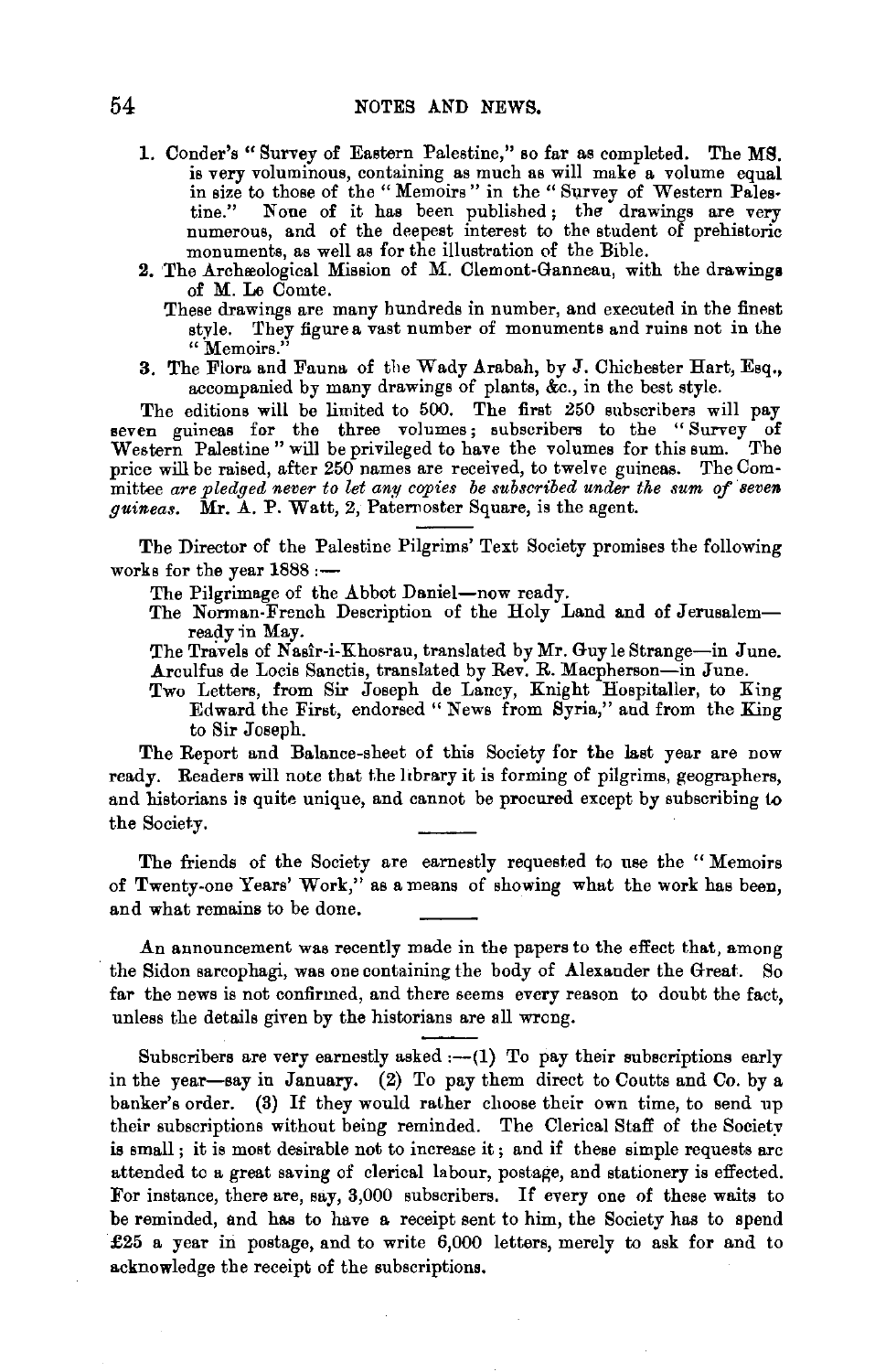- 1. Conder's "Survey of Eastern Palestine," so far as completed. The MS. is very voluminous, containing as much as will make a volume equal in size to those of the " Memoirs " in the " Survey of Western Pales-<br>tine." None of it has been published; the drawings are very None of it has been published; the drawings are very numerous, and of the deepest interest to the student of prehistoric monuments, as well as for the illustration of the Bible.
- 2. The Archeological Mission of M. Clemont-Ganneau, with the drawings of M. Le Comte.
	- These drawings are many hundreds in number, and executed in the finest style. They figure a vast number of monuments and ruins not in the **"Memoirs."**
- 3. The Flora and Fauna of the Wady Arabah, by J. Chichester Hart, Esq., accompanied by many drawings of plants, &c., in the best style.

The editions will be limited to 500. The first 250 subscribers will pay seven guineas for the three volumes; subscribers to the "Survey of Western Palestine" will be privileged to have the volumes for this sum. The price will be raised, after 250 names are received, to twelve guineas. The Committee are pledged never to let any copies be subscribed under the sum of seven *guineas.* Mr. A. P. Watt, 2, Paternoster Square, is the agent.

The Director of the Palestine Pilgrims' Text Society promises the following works for the year  $1888 :=$ 

The Pilgrimage of the Abbot Daniel-now ready.

The Norman-French Description of the Holy Land and of Jerusalemready 'in May.

The Travels of Nasir-i-Khosrau, translated by Mr. Guy le Strange-in June. Arculfus de Locis Sanctis, translated by Rev. R. Macpherson-in June.

Two Letters, from Sir Joseph de Lancy, Knight Hospitaller, to King Edward the First, endorsed" News from Syria," and from the King to Sir Joseph.

The Report and Balance-sheet of this Society for the last year are now ready. Readers will note that the library it is forming of pilgrims, geographers, and historians is quite unique, and cannot be procured except by subscribing to the Society.

The friends of the Society are earnestly requested to use the " Memoirs of Twenty-one Years' Work," as a means of showing what the work has been, and what remains to be done.

An announcement was recently made in the papers to the effect that, among the Sidon sarcophagi, was one containing the body of Alexander the Great. So far the news is not confirmed, and there seems every reason to doubt the fact, unless the details given by the historians are all wrong.

Subscribers are very earnestly asked  $:-(1)$  To pay their subscriptions early in the year-say in January. (2) To pay them direct to Coutts and Co. by a banker's order. (3) If they would rather choose their own time, to send up their subscriptions without being reminded. The Clerical Staff of the Society is small ; it is most desirable not to increase it ; and if these simple requests are attended to a great saving of clerical labour, postage, and stationery is effected. For instance, there are, say, 3,000 subscribers. If every one of these waits to be reminded, and has to have a receipt sent to him, the Society has to spend £25 a year in postage, and to write  $6,000$  letters, merely to ask for and to acknowledge the receipt of the subscriptions.